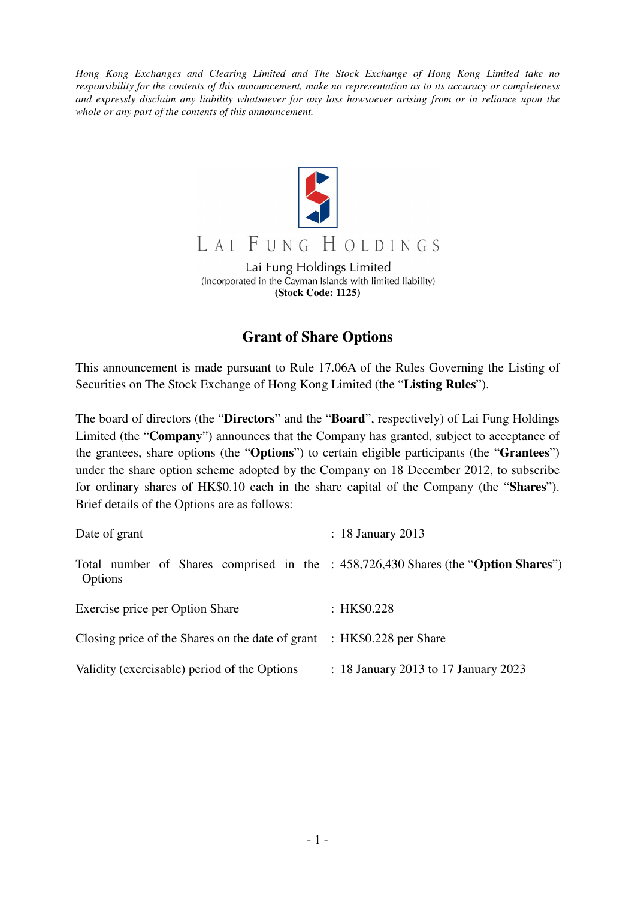*Hong Kong Exchanges and Clearing Limited and The Stock Exchange of Hong Kong Limited take no responsibility for the contents of this announcement, make no representation as to its accuracy or completeness and expressly disclaim any liability whatsoever for any loss howsoever arising from or in reliance upon the whole or any part of the contents of this announcement.* 



**(Stock Code: 1125)** 

## **Grant of Share Options**

This announcement is made pursuant to Rule 17.06A of the Rules Governing the Listing of Securities on The Stock Exchange of Hong Kong Limited (the "**Listing Rules**").

The board of directors (the "**Directors**" and the "**Board**", respectively) of Lai Fung Holdings Limited (the "**Company**") announces that the Company has granted, subject to acceptance of the grantees, share options (the "**Options**") to certain eligible participants (the "**Grantees**") under the share option scheme adopted by the Company on 18 December 2012, to subscribe for ordinary shares of HK\$0.10 each in the share capital of the Company (the "**Shares**"). Brief details of the Options are as follows:

| Date of grant                                                                                 | : 18 January 2013                    |  |
|-----------------------------------------------------------------------------------------------|--------------------------------------|--|
| Total number of Shares comprised in the : 458,726,430 Shares (the "Option Shares")<br>Options |                                      |  |
| Exercise price per Option Share                                                               | : HK\$0.228                          |  |
| Closing price of the Shares on the date of grant $\therefore$ HK\$0.228 per Share             |                                      |  |
| Validity (exercisable) period of the Options                                                  | : 18 January 2013 to 17 January 2023 |  |